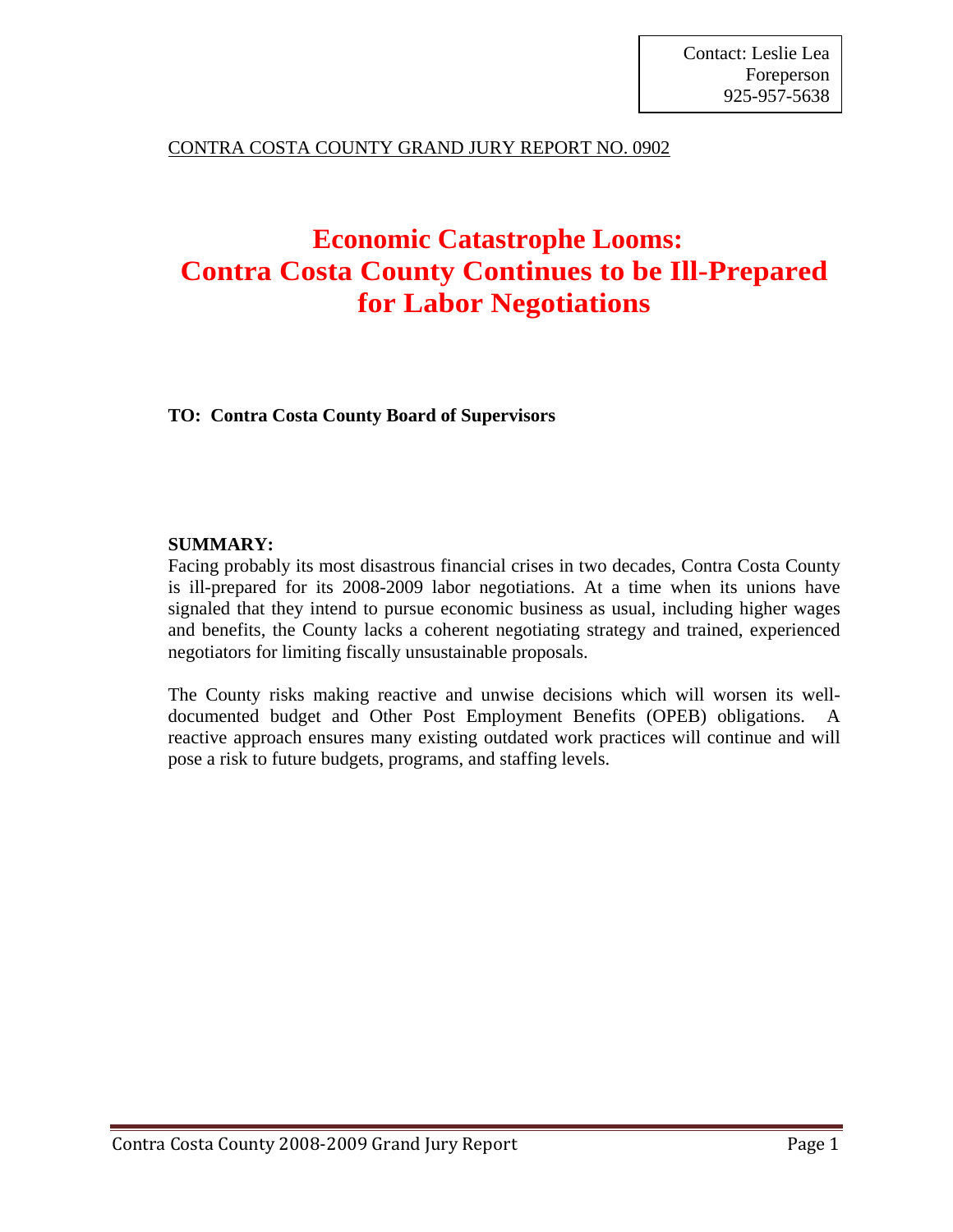## CONTRA COSTA COUNTY GRAND JURY REPORT NO. 0902

# **Economic Catastrophe Looms: Contra Costa County Continues to be Ill-Prepared for Labor Negotiations**

**TO: Contra Costa County Board of Supervisors** 

### **SUMMARY:**

Facing probably its most disastrous financial crises in two decades, Contra Costa County is ill-prepared for its 2008-2009 labor negotiations. At a time when its unions have signaled that they intend to pursue economic business as usual, including higher wages and benefits, the County lacks a coherent negotiating strategy and trained, experienced negotiators for limiting fiscally unsustainable proposals.

The County risks making reactive and unwise decisions which will worsen its welldocumented budget and Other Post Employment Benefits (OPEB) obligations. A reactive approach ensures many existing outdated work practices will continue and will pose a risk to future budgets, programs, and staffing levels.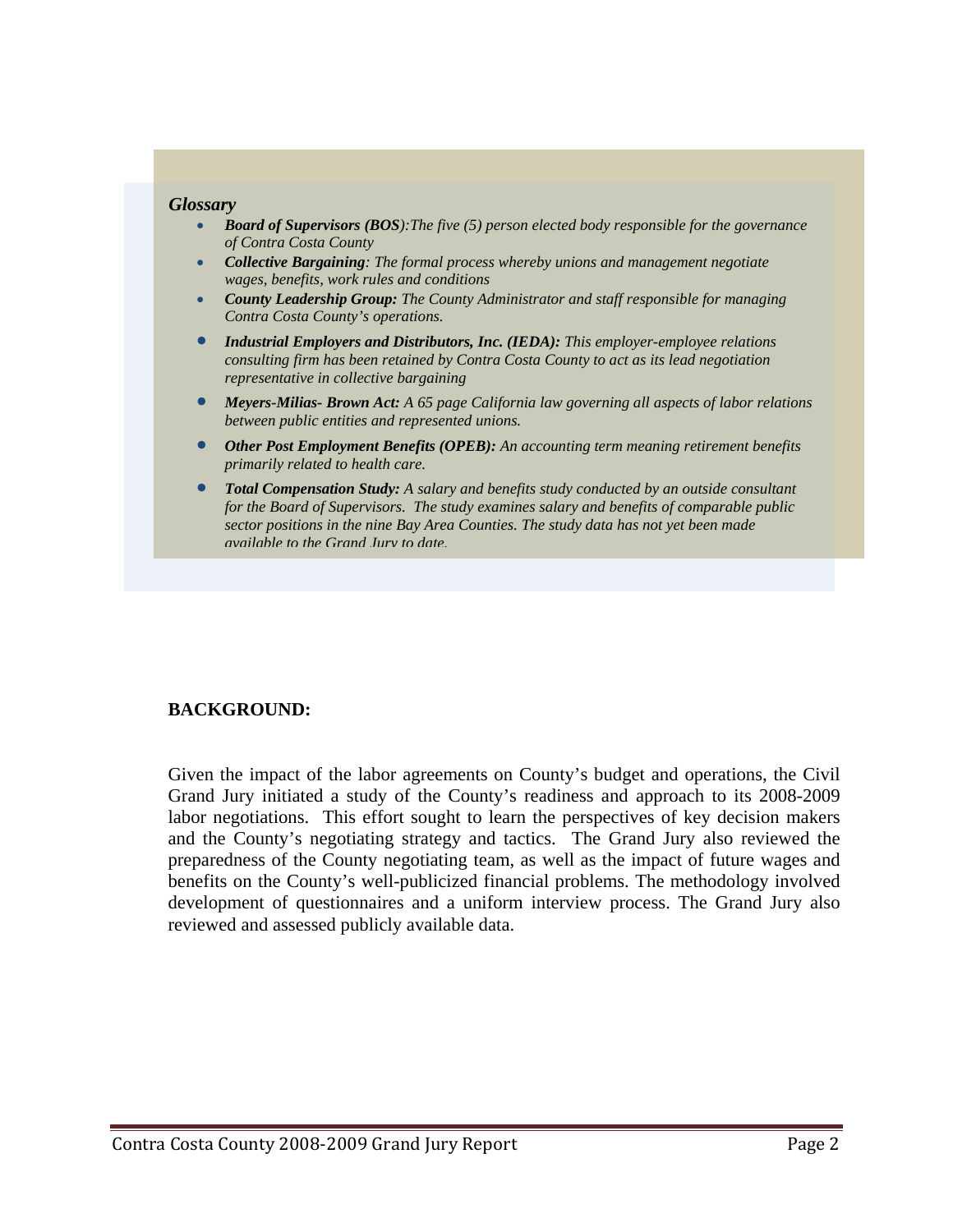#### *Glossary*

- *Board of Supervisors (BOS):The five (5) person elected body responsible for the governance of Contra Costa County*
- *Collective Bargaining: The formal process whereby unions and management negotiate wages, benefits, work rules and conditions*
- *County Leadership Group: The County Administrator and staff responsible for managing Contra Costa County's operations.*
- *Industrial Employers and Distributors, Inc. (IEDA): This employer-employee relations consulting firm has been retained by Contra Costa County to act as its lead negotiation representative in collective bargaining*
- *Meyers-Milias- Brown Act: A 65 page California law governing all aspects of labor relations between public entities and represented unions.*
- *Other Post Employment Benefits (OPEB): An accounting term meaning retirement benefits primarily related to health care.*
- *Total Compensation Study: A salary and benefits study conducted by an outside consultant for the Board of Supervisors. The study examines salary and benefits of comparable public sector positions in the nine Bay Area Counties. The study data has not yet been made available to the Grand Jury to date.*

#### **BACKGROUND:**

Given the impact of the labor agreements on County's budget and operations, the Civil Grand Jury initiated a study of the County's readiness and approach to its 2008-2009 labor negotiations. This effort sought to learn the perspectives of key decision makers and the County's negotiating strategy and tactics. The Grand Jury also reviewed the preparedness of the County negotiating team, as well as the impact of future wages and benefits on the County's well-publicized financial problems. The methodology involved development of questionnaires and a uniform interview process. The Grand Jury also reviewed and assessed publicly available data.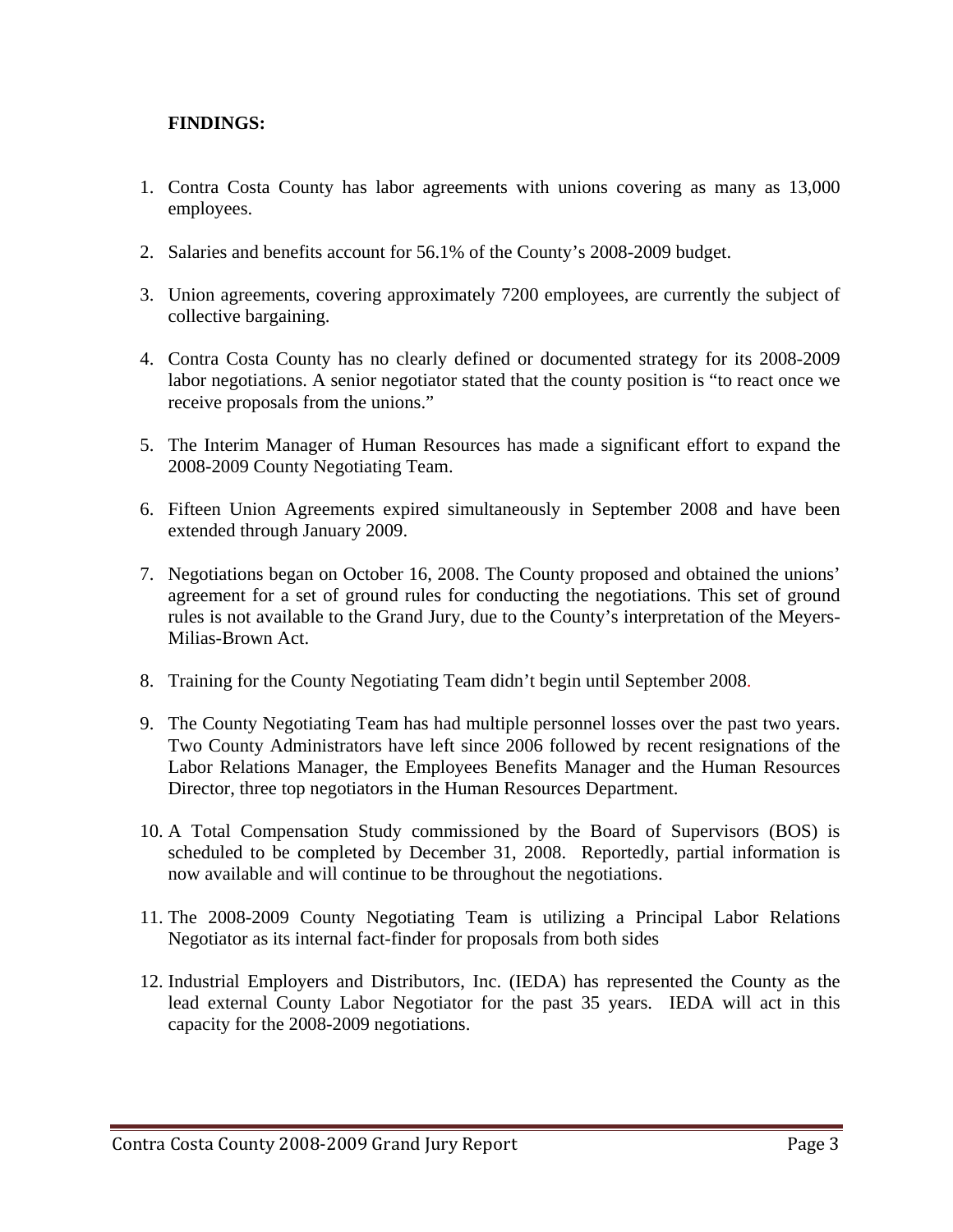# **FINDINGS:**

- 1. Contra Costa County has labor agreements with unions covering as many as 13,000 employees.
- 2. Salaries and benefits account for 56.1% of the County's 2008-2009 budget.
- 3. Union agreements, covering approximately 7200 employees, are currently the subject of collective bargaining.
- 4. Contra Costa County has no clearly defined or documented strategy for its 2008-2009 labor negotiations. A senior negotiator stated that the county position is "to react once we receive proposals from the unions."
- 5. The Interim Manager of Human Resources has made a significant effort to expand the 2008-2009 County Negotiating Team.
- 6. Fifteen Union Agreements expired simultaneously in September 2008 and have been extended through January 2009.
- 7. Negotiations began on October 16, 2008. The County proposed and obtained the unions' agreement for a set of ground rules for conducting the negotiations. This set of ground rules is not available to the Grand Jury, due to the County's interpretation of the Meyers-Milias-Brown Act.
- 8. Training for the County Negotiating Team didn't begin until September 2008.
- 9. The County Negotiating Team has had multiple personnel losses over the past two years. Two County Administrators have left since 2006 followed by recent resignations of the Labor Relations Manager, the Employees Benefits Manager and the Human Resources Director, three top negotiators in the Human Resources Department.
- 10. A Total Compensation Study commissioned by the Board of Supervisors (BOS) is scheduled to be completed by December 31, 2008. Reportedly, partial information is now available and will continue to be throughout the negotiations.
- 11. The 2008-2009 County Negotiating Team is utilizing a Principal Labor Relations Negotiator as its internal fact-finder for proposals from both sides
- 12. Industrial Employers and Distributors, Inc. (IEDA) has represented the County as the lead external County Labor Negotiator for the past 35 years. IEDA will act in this capacity for the 2008-2009 negotiations.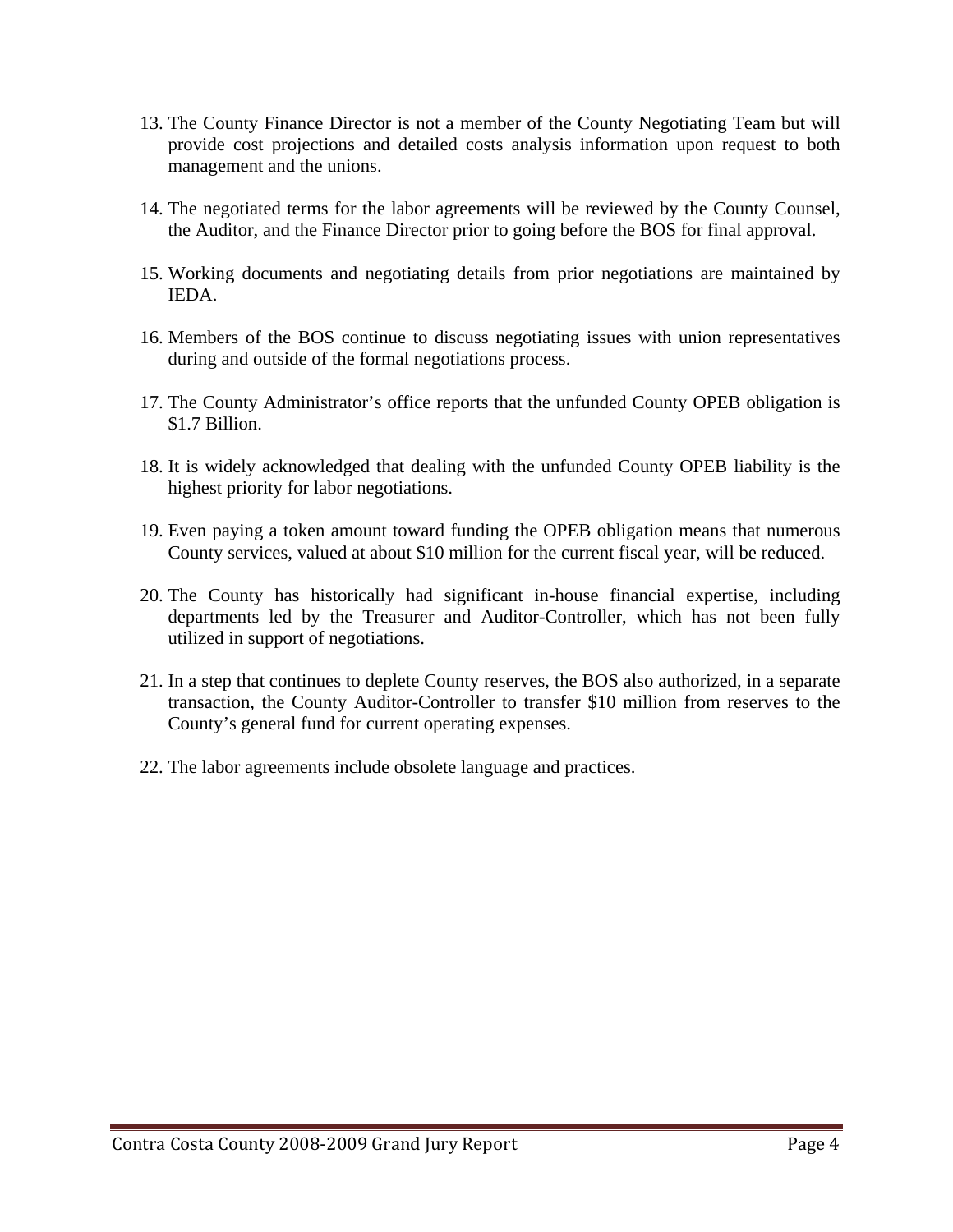- 13. The County Finance Director is not a member of the County Negotiating Team but will provide cost projections and detailed costs analysis information upon request to both management and the unions.
- 14. The negotiated terms for the labor agreements will be reviewed by the County Counsel, the Auditor, and the Finance Director prior to going before the BOS for final approval.
- 15. Working documents and negotiating details from prior negotiations are maintained by IEDA.
- 16. Members of the BOS continue to discuss negotiating issues with union representatives during and outside of the formal negotiations process.
- 17. The County Administrator's office reports that the unfunded County OPEB obligation is \$1.7 Billion.
- 18. It is widely acknowledged that dealing with the unfunded County OPEB liability is the highest priority for labor negotiations.
- 19. Even paying a token amount toward funding the OPEB obligation means that numerous County services, valued at about \$10 million for the current fiscal year, will be reduced.
- 20. The County has historically had significant in-house financial expertise, including departments led by the Treasurer and Auditor-Controller, which has not been fully utilized in support of negotiations.
- 21. In a step that continues to deplete County reserves, the BOS also authorized, in a separate transaction, the County Auditor-Controller to transfer \$10 million from reserves to the County's general fund for current operating expenses.
- 22. The labor agreements include obsolete language and practices.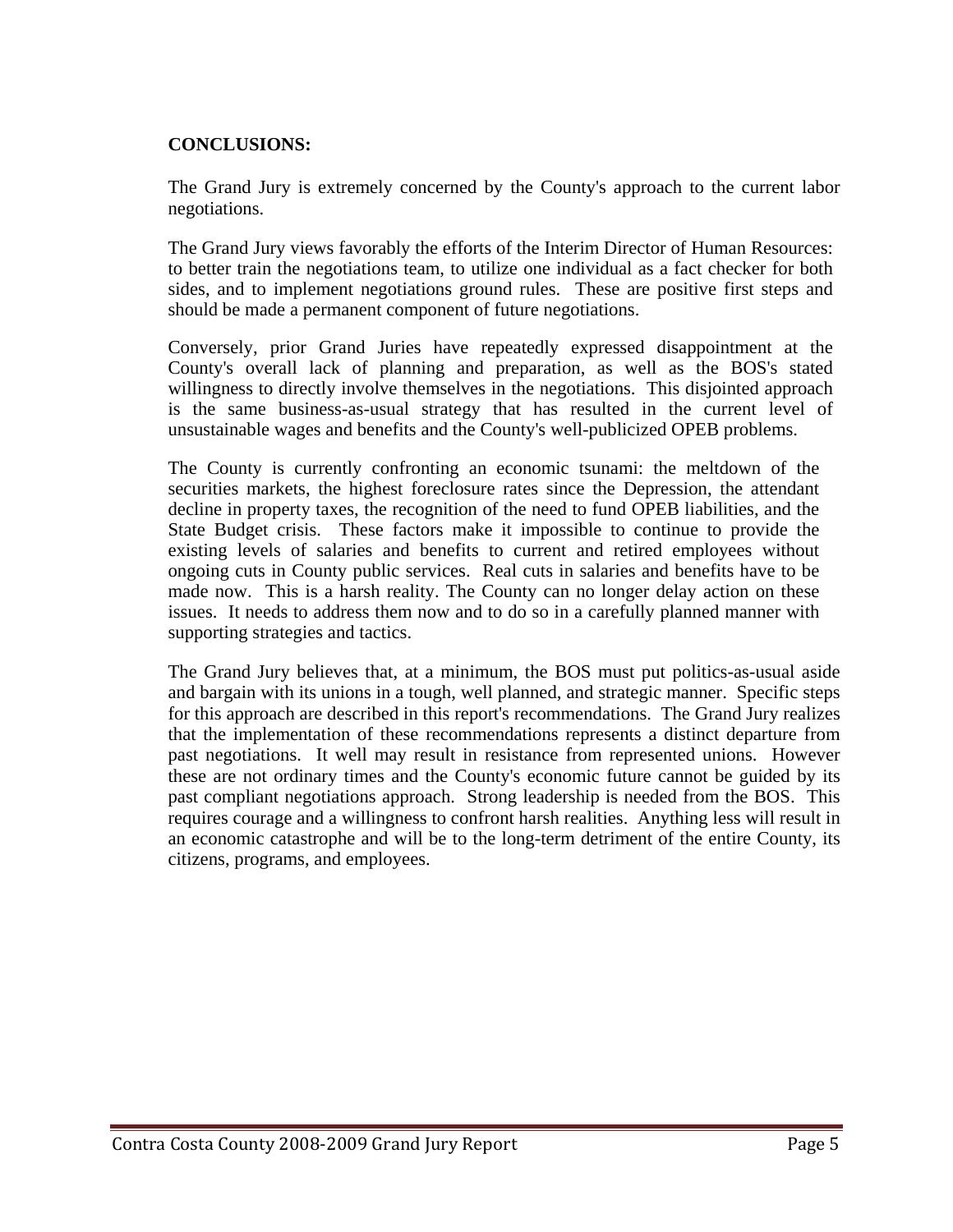## **CONCLUSIONS:**

The Grand Jury is extremely concerned by the County's approach to the current labor negotiations.

The Grand Jury views favorably the efforts of the Interim Director of Human Resources: to better train the negotiations team, to utilize one individual as a fact checker for both sides, and to implement negotiations ground rules. These are positive first steps and should be made a permanent component of future negotiations.

Conversely, prior Grand Juries have repeatedly expressed disappointment at the County's overall lack of planning and preparation, as well as the BOS's stated willingness to directly involve themselves in the negotiations. This disjointed approach is the same business-as-usual strategy that has resulted in the current level of unsustainable wages and benefits and the County's well-publicized OPEB problems.

The County is currently confronting an economic tsunami: the meltdown of the securities markets, the highest foreclosure rates since the Depression, the attendant decline in property taxes, the recognition of the need to fund OPEB liabilities, and the State Budget crisis. These factors make it impossible to continue to provide the existing levels of salaries and benefits to current and retired employees without ongoing cuts in County public services. Real cuts in salaries and benefits have to be made now. This is a harsh reality. The County can no longer delay action on these issues. It needs to address them now and to do so in a carefully planned manner with supporting strategies and tactics.

The Grand Jury believes that, at a minimum, the BOS must put politics-as-usual aside and bargain with its unions in a tough, well planned, and strategic manner. Specific steps for this approach are described in this report's recommendations. The Grand Jury realizes that the implementation of these recommendations represents a distinct departure from past negotiations. It well may result in resistance from represented unions. However these are not ordinary times and the County's economic future cannot be guided by its past compliant negotiations approach. Strong leadership is needed from the BOS. This requires courage and a willingness to confront harsh realities. Anything less will result in an economic catastrophe and will be to the long-term detriment of the entire County, its citizens, programs, and employees.